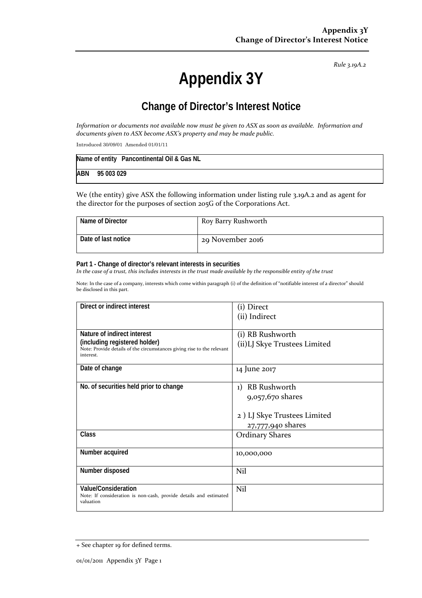*Rule 3.19A.2*

# **Appendix 3Y**

# **Change of Director's Interest Notice**

Information or documents not available now must be given to ASX as soon as available. Information and *documents given to ASX become ASX's property and may be made public.*

Introduced 30/09/01 Amended 01/01/11

|     | Name of entity Pancontinental Oil & Gas NL |
|-----|--------------------------------------------|
| ABN | 95 003 029                                 |

We (the entity) give ASX the following information under listing rule 3.19A.2 and as agent for the director for the purposes of section 205G of the Corporations Act.

| Name of Director    | Roy Barry Rushworth |
|---------------------|---------------------|
| Date of last notice | 29 November 2016    |

#### **Part 1 - Change of director's relevant interests in securities**

In the case of a trust, this includes interests in the trust made available by the responsible entity of the trust

Note: In the case of a company, interests which come within paragraph (i) of the definition of "notifiable interest of a director" should be disclosed in this part.

| Direct or indirect interest                                                                             | (i) Direct                   |
|---------------------------------------------------------------------------------------------------------|------------------------------|
|                                                                                                         | (ii) Indirect                |
|                                                                                                         |                              |
| Nature of indirect interest                                                                             |                              |
|                                                                                                         | (i) RB Rushworth             |
| (including registered holder)<br>Note: Provide details of the circumstances giving rise to the relevant | (ii)LJ Skye Trustees Limited |
| interest.                                                                                               |                              |
|                                                                                                         |                              |
| Date of change                                                                                          | 14 June 2017                 |
|                                                                                                         |                              |
| No. of securities held prior to change                                                                  | <b>RB</b> Rushworth<br>1)    |
|                                                                                                         | 9,057,670 shares             |
|                                                                                                         |                              |
|                                                                                                         |                              |
|                                                                                                         | 2) LJ Skye Trustees Limited  |
|                                                                                                         | 27,777,940 shares            |
| Class                                                                                                   | <b>Ordinary Shares</b>       |
|                                                                                                         |                              |
| Number acquired                                                                                         | 10,000,000                   |
|                                                                                                         |                              |
| Number disposed                                                                                         | Nil                          |
|                                                                                                         |                              |
|                                                                                                         |                              |
| Value/Consideration                                                                                     | Nil                          |
| Note: If consideration is non-cash, provide details and estimated<br>valuation                          |                              |
|                                                                                                         |                              |

<sup>+</sup> See chapter 19 for defined terms.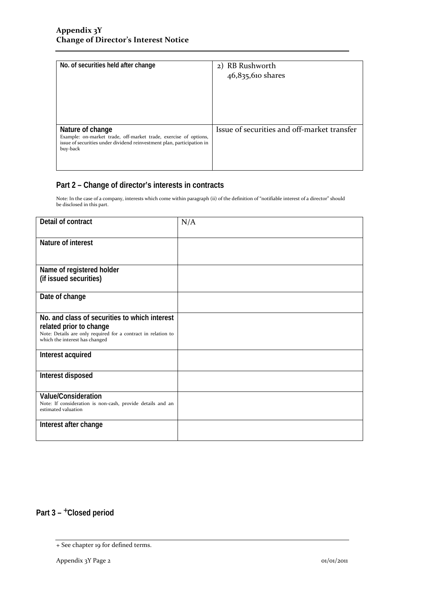| No. of securities held after change                                                                                                                                        | 2) RB Rushworth<br>46,835,610 shares        |
|----------------------------------------------------------------------------------------------------------------------------------------------------------------------------|---------------------------------------------|
| Nature of change<br>Example: on-market trade, off-market trade, exercise of options,<br>issue of securities under dividend reinvestment plan, participation in<br>buy-back | Issue of securities and off-market transfer |

### **Part 2 – Change of director's interests in contracts**

Note: In the case of a company, interests which come within paragraph (ii) of the definition of "notifiable interest of a director" should be disclosed in this part.

| <b>Detail of contract</b>                                                                                                                                                   | N/A |
|-----------------------------------------------------------------------------------------------------------------------------------------------------------------------------|-----|
| Nature of interest                                                                                                                                                          |     |
| Name of registered holder                                                                                                                                                   |     |
| (if issued securities)                                                                                                                                                      |     |
| Date of change                                                                                                                                                              |     |
| No. and class of securities to which interest<br>related prior to change<br>Note: Details are only required for a contract in relation to<br>which the interest has changed |     |
| Interest acquired                                                                                                                                                           |     |
| Interest disposed                                                                                                                                                           |     |
| <b>Value/Consideration</b><br>Note: If consideration is non-cash, provide details and an<br>estimated valuation                                                             |     |
| Interest after change                                                                                                                                                       |     |

## Part 3 - <sup>+</sup>Closed period

<sup>+</sup> See chapter 19 for defined terms.